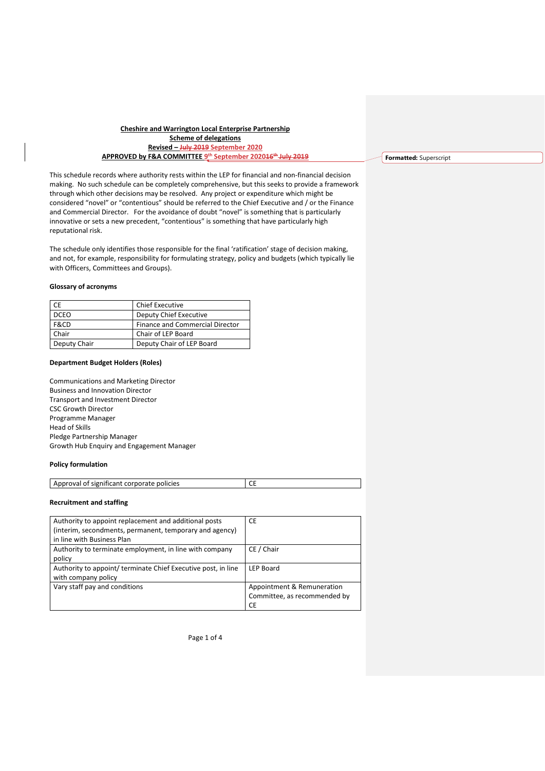### **Cheshire and Warrington Local Enterprise Partnership Scheme of delegations Revised – July 2019 September 2020 APPROVED by F&A COMMITTEE 9 th September 202016th July 2019**

This schedule records where authority rests within the LEP for financial and non-financial decision making. No such schedule can be completely comprehensive, but this seeks to provide a framework through which other decisions may be resolved. Any project or expenditure which might be considered "novel" or "contentious" should be referred to the Chief Executive and / or the Finance and Commercial Director. For the avoidance of doubt "novel" is something that is particularly innovative or sets a new precedent, "contentious" is something that have particularly high reputational risk.

The schedule only identifies those responsible for the final 'ratification' stage of decision making, and not, for example, responsibility for formulating strategy, policy and budgets (which typically lie with Officers, Committees and Groups).

#### **Glossary of acronyms**

| CE           | <b>Chief Executive</b>          |
|--------------|---------------------------------|
| <b>DCEO</b>  | Deputy Chief Executive          |
| F&CD         | Finance and Commercial Director |
| Chair        | Chair of LEP Board              |
| Deputy Chair | Deputy Chair of LEP Board       |

#### **Department Budget Holders (Roles)**

Communications and Marketing Director Business and Innovation Director Transport and Investment Director CSC Growth Director Programme Manager Head of Skills Pledge Partnership Manager Growth Hub Enquiry and Engagement Manager

### **Policy formulation**

| Approval of significant corporate policies |  |
|--------------------------------------------|--|

### **Recruitment and staffing**

| Authority to appoint replacement and additional posts         | <b>CE</b>                    |
|---------------------------------------------------------------|------------------------------|
| (interim, secondments, permanent, temporary and agency)       |                              |
| in line with Business Plan                                    |                              |
| Authority to terminate employment, in line with company       | CE / Chair                   |
| policy                                                        |                              |
| Authority to appoint/ terminate Chief Executive post, in line | <b>LEP Board</b>             |
| with company policy                                           |                              |
| Vary staff pay and conditions                                 | Appointment & Remuneration   |
|                                                               | Committee, as recommended by |
|                                                               | <b>CE</b>                    |

Page 1 of 4

**Formatted:** Superscript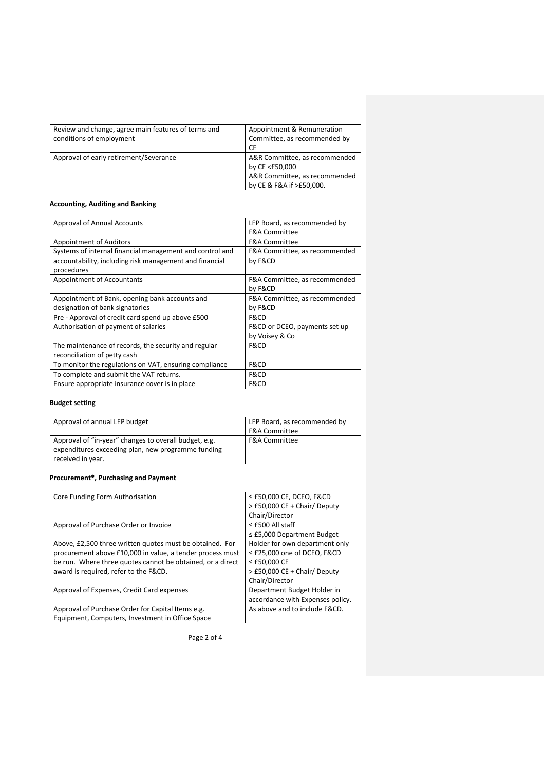| Review and change, agree main features of terms and<br>conditions of employment | Appointment & Remuneration<br>Committee, as recommended by |
|---------------------------------------------------------------------------------|------------------------------------------------------------|
| Approval of early retirement/Severance                                          | СE<br>A&R Committee, as recommended<br>by CE <£50,000      |
|                                                                                 | A&R Committee, as recommended<br>by CE & F&A if >£50,000.  |

# **Accounting, Auditing and Banking**

| Approval of Annual Accounts                              | LEP Board, as recommended by  |
|----------------------------------------------------------|-------------------------------|
|                                                          | <b>F&amp;A Committee</b>      |
| Appointment of Auditors                                  | <b>F&amp;A Committee</b>      |
| Systems of internal financial management and control and | F&A Committee, as recommended |
| accountability, including risk management and financial  | by F&CD                       |
| procedures                                               |                               |
| Appointment of Accountants                               | F&A Committee, as recommended |
|                                                          | by F&CD                       |
| Appointment of Bank, opening bank accounts and           | F&A Committee, as recommended |
| designation of bank signatories                          | by F&CD                       |
| Pre - Approval of credit card spend up above £500        | F&CD                          |
| Authorisation of payment of salaries                     | F&CD or DCEO, payments set up |
|                                                          | by Voisey & Co                |
| The maintenance of records, the security and regular     | F&CD                          |
| reconciliation of petty cash                             |                               |
| To monitor the regulations on VAT, ensuring compliance   | F&CD                          |
| To complete and submit the VAT returns.                  | F&CD                          |
| Ensure appropriate insurance cover is in place           | F&CD                          |

# **Budget setting**

| Approval of annual LEP budget                         | LEP Board, as recommended by |
|-------------------------------------------------------|------------------------------|
|                                                       | <b>F&amp;A Committee</b>     |
| Approval of "in-year" changes to overall budget, e.g. | <b>F&amp;A Committee</b>     |
| expenditures exceeding plan, new programme funding    |                              |
| received in year.                                     |                              |

## **Procurement\*, Purchasing and Payment**

| Core Funding Form Authorisation                            | $\leq$ £50,000 CE, DCEO, F&CD    |
|------------------------------------------------------------|----------------------------------|
|                                                            | > £50,000 CE + Chair/ Deputy     |
|                                                            | Chair/Director                   |
| Approval of Purchase Order or Invoice                      | $\le$ £500 All staff             |
|                                                            | $\leq$ £5,000 Department Budget  |
| Above, £2,500 three written quotes must be obtained. For   | Holder for own department only   |
| procurement above £10,000 in value, a tender process must  | $\leq$ £25,000 one of DCEO, F&CD |
| be run. Where three quotes cannot be obtained, or a direct | $\leq$ £50,000 CE                |
| award is required, refer to the F&CD.                      | > £50,000 CE + Chair/ Deputy     |
|                                                            | Chair/Director                   |
| Approval of Expenses, Credit Card expenses                 | Department Budget Holder in      |
|                                                            | accordance with Expenses policy. |
| Approval of Purchase Order for Capital Items e.g.          | As above and to include F&CD.    |
| Equipment, Computers, Investment in Office Space           |                                  |

Page 2 of 4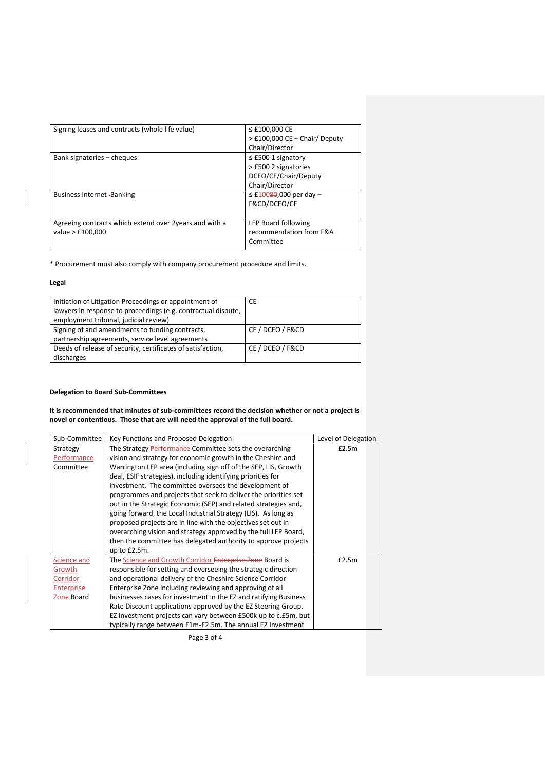| Signing leases and contracts (whole life value)         | ≤ £100,000 CE                   |
|---------------------------------------------------------|---------------------------------|
|                                                         | $>$ £100,000 CE + Chair/ Deputy |
|                                                         | Chair/Director                  |
| Bank signatories – cheques                              | $\leq$ £500 1 signatory         |
|                                                         | > £500 2 signatories            |
|                                                         | DCEO/CE/Chair/Deputy            |
|                                                         | Chair/Director                  |
| <b>Business Internet -Banking</b>                       | $\leq$ £10080,000 per day -     |
|                                                         | F&CD/DCEO/CE                    |
|                                                         |                                 |
| Agreeing contracts which extend over 2 years and with a | LEP Board following             |
| value > £100,000                                        | recommendation from F&A         |
|                                                         | Committee                       |
|                                                         |                                 |

\* Procurement must also comply with company procurement procedure and limits.

### **Legal**

| Initiation of Litigation Proceedings or appointment of        | СE               |
|---------------------------------------------------------------|------------------|
| lawyers in response to proceedings (e.g. contractual dispute, |                  |
| employment tribunal, judicial review)                         |                  |
| Signing of and amendments to funding contracts,               | CE / DCEO / F&CD |
| partnership agreements, service level agreements              |                  |
| Deeds of release of security, certificates of satisfaction,   | CE / DCEO / F&CD |
| discharges                                                    |                  |

## **Delegation to Board Sub-Committees**

**It is recommended that minutes of sub-committees record the decision whether or not a project is novel or contentious. Those that are will need the approval of the full board.** 

| Sub-Committee | Key Functions and Proposed Delegation                            | Level of Delegation |  |
|---------------|------------------------------------------------------------------|---------------------|--|
| Strategy      | The Strategy Performance Committee sets the overarching          | £2.5m               |  |
| Performance   | vision and strategy for economic growth in the Cheshire and      |                     |  |
| Committee     | Warrington LEP area (including sign off of the SEP, LIS, Growth  |                     |  |
|               | deal, ESIF strategies), including identifying priorities for     |                     |  |
|               | investment. The committee oversees the development of            |                     |  |
|               | programmes and projects that seek to deliver the priorities set  |                     |  |
|               | out in the Strategic Economic (SEP) and related strategies and,  |                     |  |
|               | going forward, the Local Industrial Strategy (LIS). As long as   |                     |  |
|               | proposed projects are in line with the objectives set out in     |                     |  |
|               | overarching vision and strategy approved by the full LEP Board,  |                     |  |
|               | then the committee has delegated authority to approve projects   |                     |  |
|               | up to $£2.5m$ .                                                  |                     |  |
| Science and   | The Science and Growth Corridor Enterprise Zone Board is         | £2.5m               |  |
| Growth        | responsible for setting and overseeing the strategic direction   |                     |  |
| Corridor      | and operational delivery of the Cheshire Science Corridor        |                     |  |
| Enterprise    | Enterprise Zone including reviewing and approving of all         |                     |  |
| Zone-Board    | businesses cases for investment in the EZ and ratifying Business |                     |  |
|               | Rate Discount applications approved by the EZ Steering Group.    |                     |  |
|               | EZ investment projects can vary between £500k up to c.£5m, but   |                     |  |
|               | typically range between £1m-£2.5m. The annual EZ Investment      |                     |  |